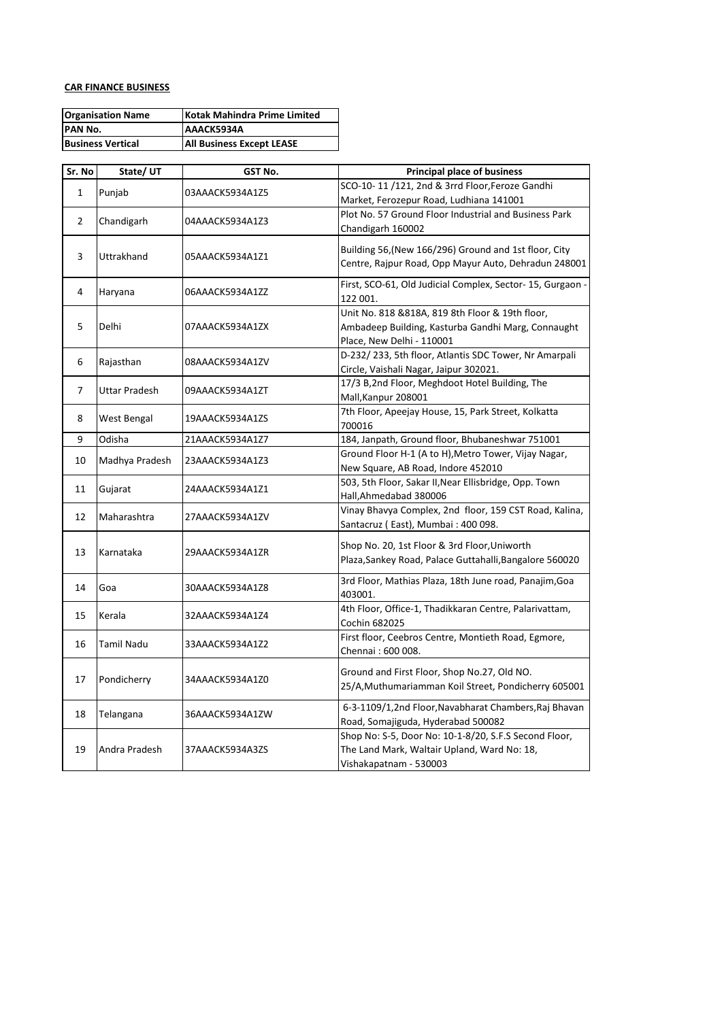## **CAR FINANCE BUSINESS**

| <b>Organisation Name</b> | Kotak Mahindra Prime Limited     |
|--------------------------|----------------------------------|
| <b>PAN No.</b>           | AAACK5934A                       |
| <b>Business Vertical</b> | <b>All Business Except LEASE</b> |

| Sr. No         | State/UT             | GST No.         | <b>Principal place of business</b>                         |
|----------------|----------------------|-----------------|------------------------------------------------------------|
| $\mathbf{1}$   | Punjab               | 03AAACK5934A1Z5 | SCO-10-11 /121, 2nd & 3rrd Floor, Feroze Gandhi            |
|                |                      |                 | Market, Ferozepur Road, Ludhiana 141001                    |
| $\overline{2}$ | Chandigarh           | 04AAACK5934A1Z3 | Plot No. 57 Ground Floor Industrial and Business Park      |
|                |                      |                 | Chandigarh 160002                                          |
|                |                      | 05AAACK5934A1Z1 | Building 56, (New 166/296) Ground and 1st floor, City      |
| 3              | Uttrakhand           |                 | Centre, Rajpur Road, Opp Mayur Auto, Dehradun 248001       |
|                |                      |                 |                                                            |
| 4              | Haryana              | 06AAACK5934A1ZZ | First, SCO-61, Old Judicial Complex, Sector- 15, Gurgaon - |
|                |                      |                 | 122 001.                                                   |
|                |                      | 07AAACK5934A1ZX | Unit No. 818 &818A, 819 8th Floor & 19th floor,            |
| 5              | Delhi                |                 | Ambadeep Building, Kasturba Gandhi Marg, Connaught         |
|                |                      |                 | Place, New Delhi - 110001                                  |
| 6              |                      | 08AAACK5934A1ZV | D-232/233, 5th floor, Atlantis SDC Tower, Nr Amarpali      |
|                | Rajasthan            |                 | Circle, Vaishali Nagar, Jaipur 302021.                     |
| $\overline{7}$ |                      |                 | 17/3 B,2nd Floor, Meghdoot Hotel Building, The             |
|                | <b>Uttar Pradesh</b> | 09AAACK5934A1ZT | Mall, Kanpur 208001                                        |
|                |                      |                 | 7th Floor, Apeejay House, 15, Park Street, Kolkatta        |
| 8              | West Bengal          | 19AAACK5934A1ZS | 700016                                                     |
| 9              | Odisha               | 21AAACK5934A1Z7 | 184, Janpath, Ground floor, Bhubaneshwar 751001            |
|                | Madhya Pradesh       |                 | Ground Floor H-1 (A to H), Metro Tower, Vijay Nagar,       |
| 10             |                      | 23AAACK5934A1Z3 | New Square, AB Road, Indore 452010                         |
|                | Gujarat              | 24AAACK5934A1Z1 | 503, 5th Floor, Sakar II, Near Ellisbridge, Opp. Town      |
| 11             |                      |                 | Hall, Ahmedabad 380006                                     |
| 12             | Maharashtra          | 27AAACK5934A1ZV | Vinay Bhavya Complex, 2nd floor, 159 CST Road, Kalina,     |
|                |                      |                 | Santacruz (East), Mumbai: 400 098.                         |
|                | Karnataka            |                 | Shop No. 20, 1st Floor & 3rd Floor, Uniworth               |
| 13             |                      | 29AAACK5934A1ZR | Plaza, Sankey Road, Palace Guttahalli, Bangalore 560020    |
|                |                      |                 |                                                            |
| 14             | Goa                  | 30AAACK5934A1Z8 | 3rd Floor, Mathias Plaza, 18th June road, Panajim, Goa     |
|                |                      |                 | 403001.                                                    |
| 15             | Kerala               | 32AAACK5934A1Z4 | 4th Floor, Office-1, Thadikkaran Centre, Palarivattam,     |
|                |                      |                 | Cochin 682025                                              |
| 16             | <b>Tamil Nadu</b>    | 33AAACK5934A1Z2 | First floor, Ceebros Centre, Montieth Road, Egmore,        |
|                |                      |                 | Chennai: 600 008.                                          |
|                |                      |                 | Ground and First Floor, Shop No.27, Old NO.                |
| 17             | Pondicherry          | 34AAACK5934A1Z0 |                                                            |
|                |                      |                 | 25/A, Muthumariamman Koil Street, Pondicherry 605001       |
| 18             | Telangana            | 36AAACK5934A1ZW | 6-3-1109/1,2nd Floor, Navabharat Chambers, Raj Bhavan      |
|                |                      |                 | Road, Somajiguda, Hyderabad 500082                         |
|                |                      |                 | Shop No: S-5, Door No: 10-1-8/20, S.F.S Second Floor,      |
| 19             | Andra Pradesh        | 37AAACK5934A3ZS | The Land Mark, Waltair Upland, Ward No: 18,                |
|                |                      |                 | Vishakapatnam - 530003                                     |